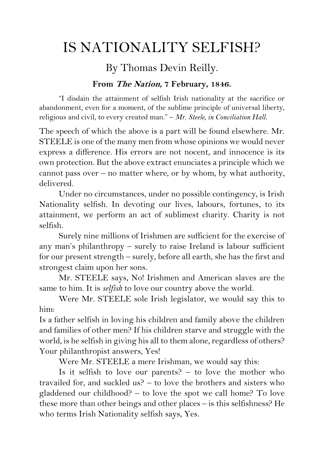## IS NATIONALITY SELFISH?

## By Thomas Devin Reilly.

## **From The Nation, 7 February, 1846.**

"I disdain the attainment of selfish Irish nationality at the sacrifice or abandonment, even for a moment, of the sublime principle of universal liberty, religious and civil, to every created man." – *Mr. Steele, in Conciliation Hall.*

The speech of which the above is a part will be found elsewhere. Mr. STEELE is one of the many men from whose opinions we would never express a difference. His errors are not nocent, and innocence is its own protection. But the above extract enunciates a principle which we cannot pass over – no matter where, or by whom, by what authority, delivered.

Under no circumstances, under no possible contingency, is Irish Nationality selfish. In devoting our lives, labours, fortunes, to its attainment, we perform an act of sublimest charity. Charity is not selfish.

Surely nine millions of Irishmen are sufficient for the exercise of any man's philanthropy – surely to raise Ireland is labour sufficient for our present strength – surely, before all earth, she has the first and strongest claim upon her sons.

Mr. STEELE says, No! Irishmen and American slaves are the same to him. It is *selfish* to love our country above the world.

Were Mr. STEELE sole Irish legislator, we would say this to him:

Is a father selfish in loving his children and family above the children and families of other men? If his children starve and struggle with the world, is he selfish in giving his all to them alone, regardless of others? Your philanthropist answers, Yes!

Were Mr. STEELE a mere Irishman, we would say this:

Is it selfish to love our parents?  $-$  to love the mother who travailed for, and suckled us? – to love the brothers and sisters who gladdened our childhood? – to love the spot we call home? To love these more than other beings and other places – is this selfishness? He who terms Irish Nationality selfish says, Yes.